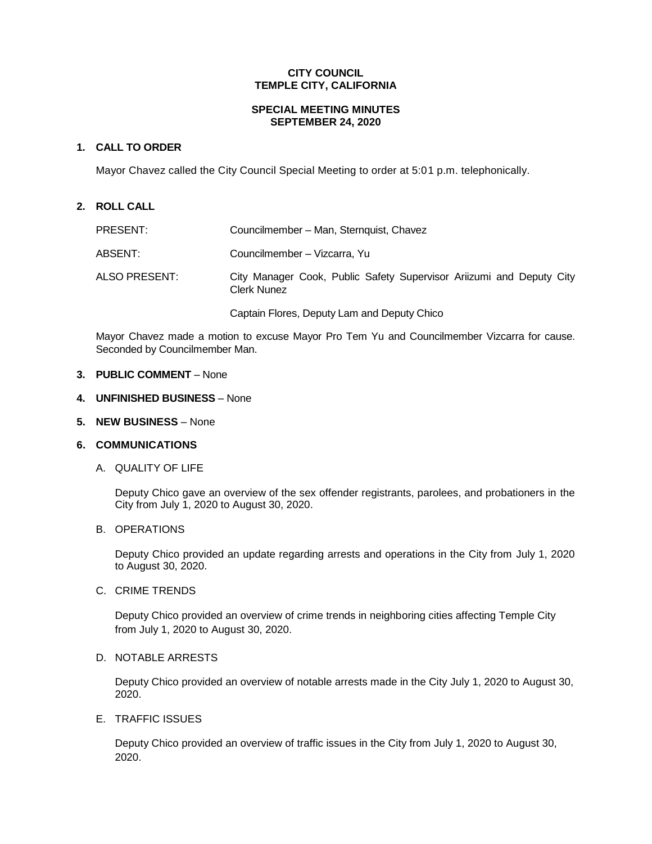## **CITY COUNCIL TEMPLE CITY, CALIFORNIA**

#### **SPECIAL MEETING MINUTES SEPTEMBER 24, 2020**

## **1. CALL TO ORDER**

Mayor Chavez called the City Council Special Meeting to order at 5:01 p.m. telephonically.

### **2. ROLL CALL**

| PRESENT:      | Councilmember - Man, Sternquist, Chavez                                                    |
|---------------|--------------------------------------------------------------------------------------------|
| ABSENT:       | Councilmember - Vizcarra, Yu                                                               |
| ALSO PRESENT: | City Manager Cook, Public Safety Supervisor Ariizumi and Deputy City<br><b>Clerk Nunez</b> |
|               | Captain Flores, Deputy Lam and Deputy Chico                                                |

Mayor Chavez made a motion to excuse Mayor Pro Tem Yu and Councilmember Vizcarra for cause. Seconded by Councilmember Man.

### **3. PUBLIC COMMENT** – None

- **4. UNFINISHED BUSINESS** None
- **5. NEW BUSINESS** None

## **6. COMMUNICATIONS**

A. QUALITY OF LIFE

Deputy Chico gave an overview of the sex offender registrants, parolees, and probationers in the City from July 1, 2020 to August 30, 2020.

#### B. OPERATIONS

Deputy Chico provided an update regarding arrests and operations in the City from July 1, 2020 to August 30, 2020.

C. CRIME TRENDS

Deputy Chico provided an overview of crime trends in neighboring cities affecting Temple City from July 1, 2020 to August 30, 2020.

## D. NOTABLE ARRESTS

Deputy Chico provided an overview of notable arrests made in the City July 1, 2020 to August 30, 2020.

#### E. TRAFFIC ISSUES

Deputy Chico provided an overview of traffic issues in the City from July 1, 2020 to August 30, 2020.